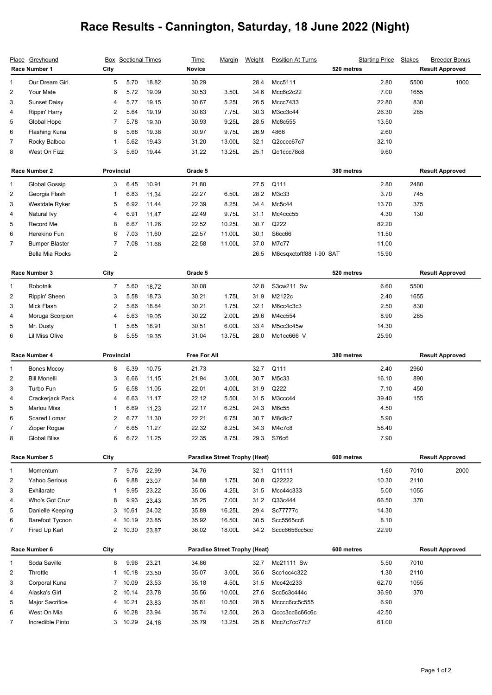## **Race Results - Cannington, Saturday, 18 June 2022 (Night)**

| <u>Place</u>            | Greyhound<br>Race Number 1 | City           | <b>Box</b> Sectional Times |                | Time<br><b>Novice</b> | <u>Marqin</u>                        | Weight | <b>Position At Turns</b> | <b>Starting Price</b><br>520 metres | <b>Stakes</b> | <b>Breeder Bonus</b><br><b>Result Approved</b> |
|-------------------------|----------------------------|----------------|----------------------------|----------------|-----------------------|--------------------------------------|--------|--------------------------|-------------------------------------|---------------|------------------------------------------------|
| 1                       | Our Dream Girl             | 5              | 5.70                       | 18.82          | 30.29                 |                                      | 28.4   | Mcc5111                  |                                     | 5500<br>2.80  | 1000                                           |
| 2                       | Your Mate                  | 6              | 5.72                       | 19.09          | 30.53                 | 3.50L                                | 34.6   | Mcc6c2c22                |                                     | 7.00<br>1655  |                                                |
| 3                       | <b>Sunset Daisy</b>        | 4              | 5.77                       | 19.15          | 30.67                 | 5.25L                                | 26.5   | Mccc7433                 | 22.80                               | 830           |                                                |
| 4                       | Rippin' Harry              | 2              | 5.64                       | 19.19          | 30.83                 | 7.75L                                | 30.3   | M3cc3c44                 | 26.30                               | 285           |                                                |
| 5                       | Global Hope                | 7              | 5.78                       | 19.30          | 30.93                 | 9.25L                                | 28.5   | Mc8c555                  | 13.50                               |               |                                                |
| 6                       | Flashing Kuna              | 8              | 5.68                       | 19.38          | 30.97                 | 9.75L                                | 26.9   | 4866                     |                                     | 2.60          |                                                |
| 7                       | Rocky Balboa               | 1              | 5.62                       | 19.43          | 31.20                 | 13.00L                               | 32.1   | Q2cccc67c7               | 32.10                               |               |                                                |
| 8                       | West On Fizz               | 3              | 5.60                       | 19.44          | 31.22                 | 13.25L                               | 25.1   | Qc1ccc78c8               |                                     | 9.60          |                                                |
| Race Number 2           |                            | Provincial     |                            | Grade 5        |                       |                                      |        | 380 metres               | <b>Result Approved</b>              |               |                                                |
| 1                       | Global Gossip              | 3              | 6.45                       | 10.91          | 21.80                 |                                      | 27.5   | Q111                     |                                     | 2.80<br>2480  |                                                |
| $\overline{\mathbf{c}}$ | Georgia Flash              | 1              | 6.83                       | 11.34          | 22.27                 | 6.50L                                | 28.2   | M3c33                    |                                     | 3.70<br>745   |                                                |
| 3                       | Westdale Ryker             | 5              | 6.92                       | 11.44          | 22.39                 | 8.25L                                | 34.4   | Mc5c44                   | 13.70                               | 375           |                                                |
| 4                       | Natural Ivy                | 4              | 6.91                       | 11.47          | 22.49                 | 9.75L                                | 31.1   | Mc4ccc55                 |                                     | 4.30<br>130   |                                                |
| 5                       | Record Me                  | 8              | 6.67                       | 11.26          | 22.52                 | 10.25L                               | 30.7   | Q222                     | 82.20                               |               |                                                |
| 6                       | Herekino Fun               | 6              | 7.03                       | 11.60          | 22.57                 | 11.00L                               | 30.1   | S6cc66                   | 11.50                               |               |                                                |
| $\overline{7}$          | <b>Bumper Blaster</b>      | $\overline{7}$ | 7.08                       | 11.68          | 22.58                 | 11.00L                               | 37.0   | M7c77                    | 11.00                               |               |                                                |
|                         | <b>Bella Mia Rocks</b>     | $\overline{c}$ |                            |                |                       |                                      | 26.5   | M8csqxctoftf88 I-90 SAT  | 15.90                               |               |                                                |
| Race Number 3           |                            | City           |                            |                | Grade 5               |                                      |        |                          | 520 metres                          |               | <b>Result Approved</b>                         |
| 1                       | Robotnik                   | 7              | 5.60                       | 18.72          | 30.08                 |                                      | 32.8   | S3cw211 Sw               |                                     | 5500<br>6.60  |                                                |
| 2                       | Rippin' Sheen              | 3              | 5.58                       | 18.73          | 30.21                 | 1.75L                                | 31.9   | M2122c                   |                                     | 2.40<br>1655  |                                                |
| 3                       | Mick Flash                 | 2              | 5.66                       | 18.84          | 30.21                 | 1.75L                                | 32.1   | M6cc4c3c3                |                                     | 2.50<br>830   |                                                |
| 4                       | Moruga Scorpion            | 4              | 5.63                       | 19.05          | 30.22                 | 2.00L                                | 29.6   | M4cc554                  |                                     | 8.90<br>285   |                                                |
| 5                       | Mr. Dusty                  | 1              | 5.65                       | 18.91          | 30.51                 | 6.00L                                | 33.4   | M5cc3c45w                | 14.30                               |               |                                                |
| 6                       | Lil Miss Olive             | 8              | 5.55                       | 19.35          | 31.04                 | 13.75L                               | 28.0   | Mc1cc666 V               | 25.90                               |               |                                                |
| Race Number 4           |                            | Provincial     |                            |                |                       |                                      |        | 380 metres               |                                     |               |                                                |
|                         |                            |                |                            |                | <b>Free For All</b>   |                                      |        |                          |                                     |               | <b>Result Approved</b>                         |
| 1                       | <b>Bones Mccoy</b>         | 8              | 6.39                       | 10.75          | 21.73                 |                                      | 32.7   | Q111                     |                                     | 2.40<br>2960  |                                                |
| 2                       | <b>Bill Monelli</b>        | 3              | 6.66                       | 11.15          | 21.94                 | 3.00L                                | 30.7   | M5c33                    | 16.10                               | 890           |                                                |
| 3                       | Turbo Fun                  | 5              | 6.58                       | 11.05          | 22.01                 | 4.00L                                | 31.9   | Q222                     |                                     | 450<br>7.10   |                                                |
| 4                       | Crackerjack Pack           | 4              | 6.63                       | 11.17          | 22.12                 | 5.50L                                | 31.5   | M3ccc44                  | 39.40                               | 155           |                                                |
| 5                       | <b>Marlou Miss</b>         |                | 6.69                       | 11.23          | 22.17                 | 6.25L                                | 24.3   | M6c55                    |                                     | 4.50          |                                                |
| 6                       | Scared Lomar               | 2              | 6.77                       | 11.30          | 22.21                 | 6.75L                                | 30.7   | M8c8c7                   |                                     | 5.90          |                                                |
| 7                       | Zipper Rogue               |                | 6.65                       | 11.27          | 22.32                 | 8.25L                                | 34.3   | M4c7c8                   | 58.40                               |               |                                                |
| 8                       | <b>Global Bliss</b>        | 6              | 6.72                       | 11.25          | 22.35                 | 8.75L                                | 29.3   | S76c6                    |                                     | 7.90          |                                                |
|                         | Race Number 5              | City           |                            |                |                       | <b>Paradise Street Trophy (Heat)</b> |        |                          | 600 metres                          |               | <b>Result Approved</b>                         |
| 1                       | Momentum                   | $\overline{7}$ | 9.76                       | 22.99          | 34.76                 |                                      | 32.1   | Q11111                   |                                     | 1.60<br>7010  | 2000                                           |
| $\overline{c}$          | Yahoo Serious              | 6              | 9.88                       | 23.07          | 34.88                 | 1.75L                                | 30.8   | Q22222                   | 10.30                               | 2110          |                                                |
| 3                       | Exhilarate                 | 1              | 9.95                       | 23.22          | 35.06                 | 4.25L                                | 31.5   | Mcc44c333                |                                     | 5.00<br>1055  |                                                |
| 4                       | Who's Got Cruz             | 8              | 9.93                       | 23.43          | 35.25                 | 7.00L                                | 31.2   | Q33c444                  | 66.50                               | 370           |                                                |
| 5                       | Danielle Keeping           | 3              | 10.61                      | 24.02          | 35.89                 | 16.25L                               | 29.4   | Sc77777c                 | 14.30                               |               |                                                |
| 6                       | Barefoot Tycoon            | 4              | 10.19                      | 23.85          | 35.92                 | 16.50L                               | 30.5   | Scc5565cc6               |                                     | 8.10          |                                                |
| 7                       | Fired Up Karl              |                | 2 10.30                    | 23.87          | 36.02                 | 18.00L                               | 34.2   | Sccc6656cc5cc            | 22.90                               |               |                                                |
|                         | Race Number 6              | City           |                            |                |                       | <b>Paradise Street Trophy (Heat)</b> |        |                          | 600 metres                          |               | <b>Result Approved</b>                         |
| 1                       | Soda Saville               | 8              | 9.96                       |                | 34.86                 |                                      | 32.7   | Mc21111 Sw               |                                     | 5.50<br>7010  |                                                |
| 2                       | Throttle                   | 1              | 10.18                      | 23.21          | 35.07                 | 3.00L                                | 35.6   | Scc1cc4c322              |                                     | 2110<br>1.30  |                                                |
| 3                       | Corporal Kuna              |                | 7 10.09                    | 23.50<br>23.53 | 35.18                 | 4.50L                                | 31.5   | Mcc42c233                | 62.70                               | 1055          |                                                |
| 4                       | Alaska's Girl              | 2              | 10.14                      | 23.78          | 35.56                 | 10.00L                               | 27.6   | Scc5c3c444c              | 36.90                               | 370           |                                                |
| 5                       | <b>Major Sacrifice</b>     | 4              | 10.21                      | 23.83          | 35.61                 | 10.50L                               | 28.5   | Mcccc6cc5c555            |                                     | 6.90          |                                                |
| 6                       | West On Mia                | 6              | 10.28                      | 23.94          | 35.74                 | 12.50L                               | 26.3   | Qccc3cc6c66c6c           | 42.50                               |               |                                                |